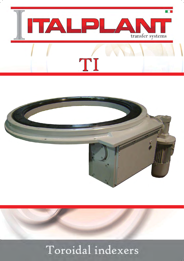



### Toroidal indexers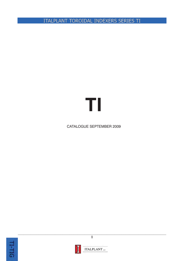ITALPLANT TOROIDAL INDEXERS SERIES TI

# TI

#### **CATALOGUE SEPTEMBER 2009**





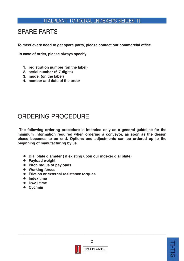#### **SPARE PARTS**

To meet every need to get spare parts, please contact our commercial office.

In case of order, please always specify:

- 1. registration number (on the label)
- 2. serial number (6-7 digits)
- 3. model (on the label)
- 4. number and date of the order

### ORDERING PROCEDURE

The following ordering procedure is intended only as a general guideline for the minimum information required when ordering a conveyor, as soon as the design phase becomes to an end. Options and adjustments can be ordered up to the beginning of manufacturing by us.

- Dial plate diameter (if existing upon our indexer dial plate)
- Payload weight
- Pitch radius of payloads
- Working forces
- Friction or external resistance torques
- $\bullet$  Index time
- Dwell time
- $\bullet$  Cyc/min



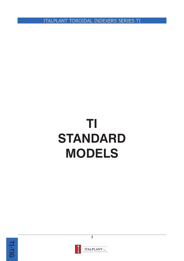**ITALPLANT TOROIDAL INDEXERS SERIES TI** 

## TI **STANDARD MODELS**





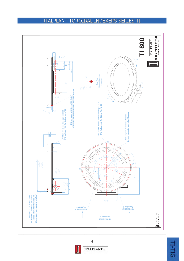



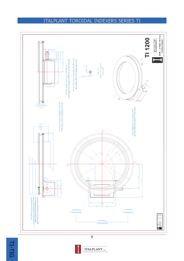#### **ITALPLANT TOROIDAL INDEXERS SERIES TI**





**ITALPLANT** s.r.t.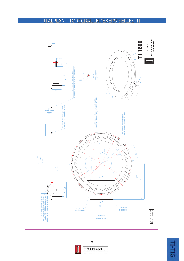



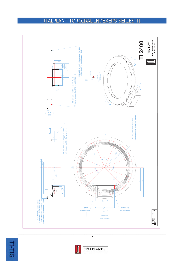